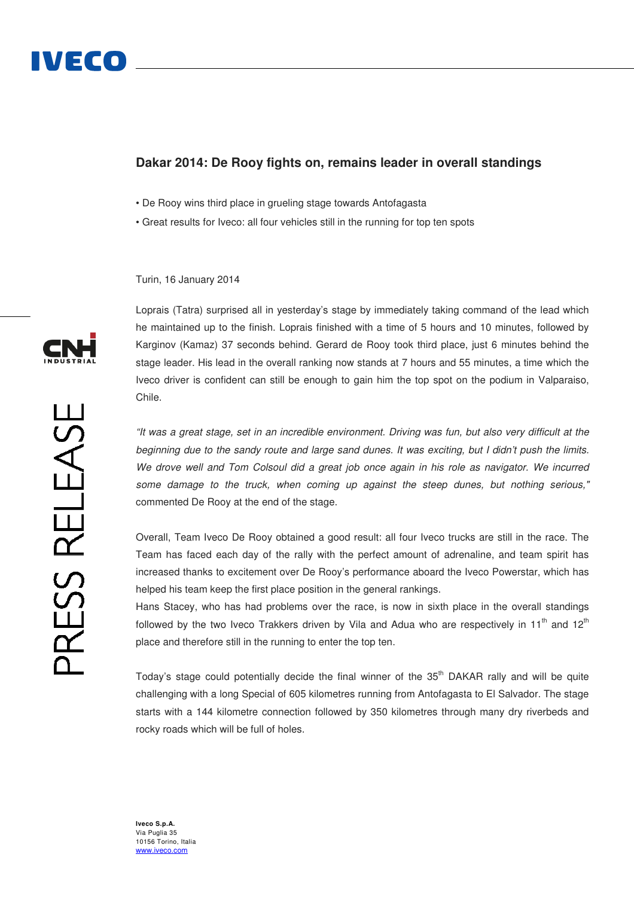# **Dakar 2014: De Rooy fights on, remains leader in overall standings**

- De Rooy wins third place in grueling stage towards Antofagasta
- Great results for Iveco: all four vehicles still in the running for top ten spots

Turin, 16 January 2014

Loprais (Tatra) surprised all in yesterday's stage by immediately taking command of the lead which he maintained up to the finish. Loprais finished with a time of 5 hours and 10 minutes, followed by Karginov (Kamaz) 37 seconds behind. Gerard de Rooy took third place, just 6 minutes behind the stage leader. His lead in the overall ranking now stands at 7 hours and 55 minutes, a time which the Iveco driver is confident can still be enough to gain him the top spot on the podium in Valparaiso, Chile.

"It was a great stage, set in an incredible environment. Driving was fun, but also very difficult at the beginning due to the sandy route and large sand dunes. It was exciting, but I didn't push the limits. We drove well and Tom Colsoul did a great job once again in his role as navigator. We incurred some damage to the truck, when coming up against the steep dunes, but nothing serious." commented De Rooy at the end of the stage.

Overall, Team Iveco De Rooy obtained a good result: all four Iveco trucks are still in the race. The Team has faced each day of the rally with the perfect amount of adrenaline, and team spirit has increased thanks to excitement over De Rooy's performance aboard the Iveco Powerstar, which has helped his team keep the first place position in the general rankings.

Hans Stacey, who has had problems over the race, is now in sixth place in the overall standings followed by the two Iveco Trakkers driven by Vila and Adua who are respectively in 11<sup>th</sup> and 12<sup>th</sup> place and therefore still in the running to enter the top ten.

Today's stage could potentially decide the final winner of the 35<sup>th</sup> DAKAR rally and will be quite challenging with a long Special of 605 kilometres running from Antofagasta to El Salvador. The stage starts with a 144 kilometre connection followed by 350 kilometres through many dry riverbeds and rocky roads which will be full of holes.



**Iveco S.p.A.**  Via Puglia 35 10156 Torino, Italia www.iveco.com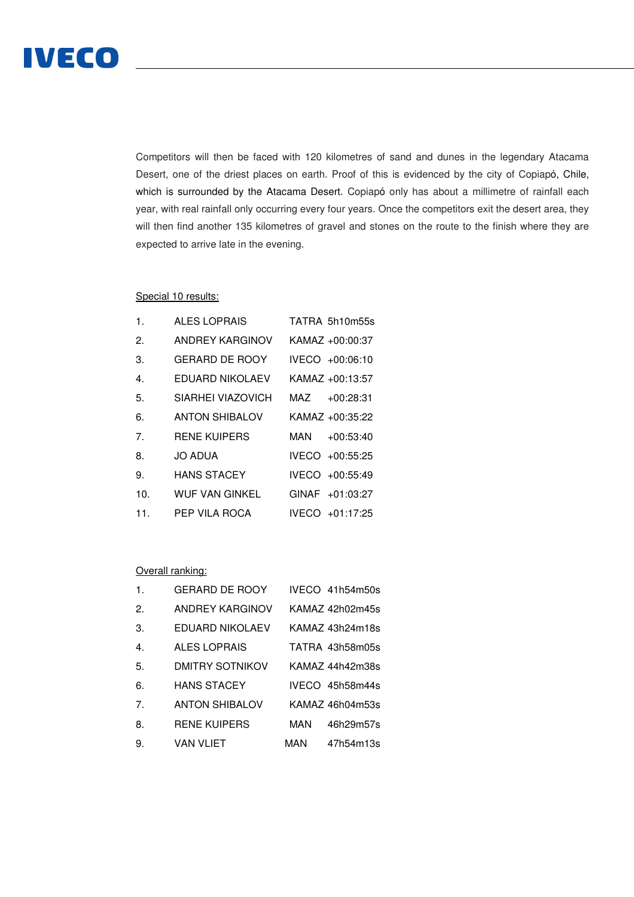

Competitors will then be faced with 120 kilometres of sand and dunes in the legendary Atacama Desert, one of the driest places on earth. Proof of this is evidenced by the city of Copiapó, Chile, which is surrounded by the Atacama Desert. Copiapó only has about a millimetre of rainfall each year, with real rainfall only occurring every four years. Once the competitors exit the desert area, they will then find another 135 kilometres of gravel and stones on the route to the finish where they are expected to arrive late in the evening.

## Special 10 results:

| $\mathbf 1$      | ALES LOPRAIS           |     | TATRA 5h10m55s  |
|------------------|------------------------|-----|-----------------|
| 2.               | <b>ANDREY KARGINOV</b> |     | KAMAZ +00:00:37 |
| 3.               | <b>GERARD DE ROOY</b>  |     | IVECO +00:06:10 |
| $\overline{4}$ . | EDUARD NIKOLAEV        |     | KAMAZ +00:13:57 |
| 5.               | SIARHEI VIAZOVICH      | MAZ | $+00:28:31$     |
| 6.               | <b>ANTON SHIBALOV</b>  |     | KAMAZ +00:35:22 |
| 7 <sub>1</sub>   | <b>RENE KUIPERS</b>    | MAN | $+00:53:40$     |
| 8.               | <b>JO ADUA</b>         |     | IVECO +00:55:25 |
| 9.               | <b>HANS STACEY</b>     |     | IVECO +00:55:49 |
| 10 <sub>1</sub>  | <b>WUF VAN GINKEL</b>  |     | GINAF +01:03:27 |
| 11.              | PEP VILA ROCA          |     | IVECO +01:17:25 |

#### Overall ranking:

| $\mathbf{1}$ .   | <b>GERARD DE ROOY</b>  | IVECO 41h54m50s  |
|------------------|------------------------|------------------|
| 2.               | ANDREY KARGINOV        | KAMAZ 42h02m45s  |
| 3.               | EDUARD NIKOLAEV        | KAMAZ 43h24m18s  |
| $\overline{4}$ . | <b>ALES LOPRAIS</b>    | TATRA 43h58m05s  |
| 5.               | <b>DMITRY SOTNIKOV</b> | KAMAZ 44h42m38s  |
| 6.               | <b>HANS STACEY</b>     | IVECO 45h58m44s  |
| 7 <sub>1</sub>   | <b>ANTON SHIBALOV</b>  | KAMAZ 46h04m53s  |
| 8.               | <b>RENE KUIPERS</b>    | MAN<br>46h29m57s |
| 9.               | VAN VLIET              | MAN<br>47h54m13s |